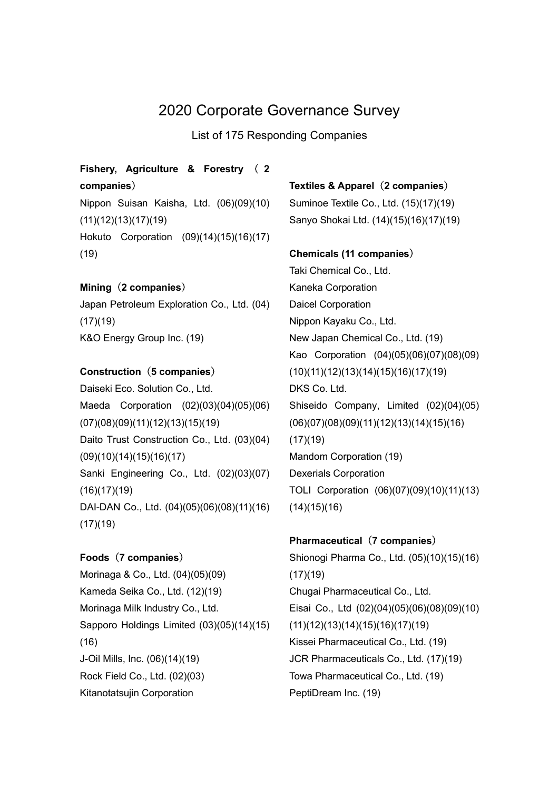# 2020 Corporate Governance Survey

List of 175 Responding Companies

## Fishery, Agriculture & Forestry ( 2 companies)

Nippon Suisan Kaisha, Ltd. (06)(09)(10) (11)(12)(13)(17)(19) Hokuto Corporation (09)(14)(15)(16)(17) (19)

## Mining (2 companies)

Japan Petroleum Exploration Co., Ltd. (04)  $(17)(19)$ K&O Energy Group Inc. (19)

### Construction (5 companies)

Daiseki Eco. Solution Co., Ltd. Maeda Corporation (02)(03)(04)(05)(06) (07)(08)(09)(11)(12)(13)(15)(19) Daito Trust Construction Co., Ltd. (03)(04) (09)(10)(14)(15)(16)(17) Sanki Engineering Co., Ltd. (02)(03)(07) (16)(17)(19) DAI-DAN Co., Ltd. (04)(05)(06)(08)(11)(16) (17)(19)

## Foods (7 companies)

Morinaga & Co., Ltd. (04)(05)(09) Kameda Seika Co., Ltd. (12)(19) Morinaga Milk Industry Co., Ltd. Sapporo Holdings Limited (03)(05)(14)(15) (16) J-Oil Mills, Inc. (06)(14)(19) Rock Field Co., Ltd. (02)(03) Kitanotatsujin Corporation

## Textiles & Apparel (2 companies)

Suminoe Textile Co., Ltd. (15)(17)(19) Sanyo Shokai Ltd. (14)(15)(16)(17)(19)

#### Chemicals (11 companies)

Taki Chemical Co., Ltd. Kaneka Corporation Daicel Corporation Nippon Kayaku Co., Ltd. New Japan Chemical Co., Ltd. (19) Kao Corporation (04)(05)(06)(07)(08)(09) (10)(11)(12)(13)(14)(15)(16)(17)(19) DKS Co. Ltd. Shiseido Company, Limited (02)(04)(05) (06)(07)(08)(09)(11)(12)(13)(14)(15)(16)  $(17)(19)$ Mandom Corporation (19) Dexerials Corporation TOLI Corporation (06)(07)(09)(10)(11)(13)  $(14)(15)(16)$ 

## Pharmaceutical (7 companies)

Shionogi Pharma Co., Ltd. (05)(10)(15)(16)  $(17)(19)$ Chugai Pharmaceutical Co., Ltd. Eisai Co., Ltd (02)(04)(05)(06)(08)(09)(10) (11)(12)(13)(14)(15)(16)(17)(19) Kissei Pharmaceutical Co., Ltd. (19) JCR Pharmaceuticals Co., Ltd. (17)(19) Towa Pharmaceutical Co., Ltd. (19) PeptiDream Inc. (19)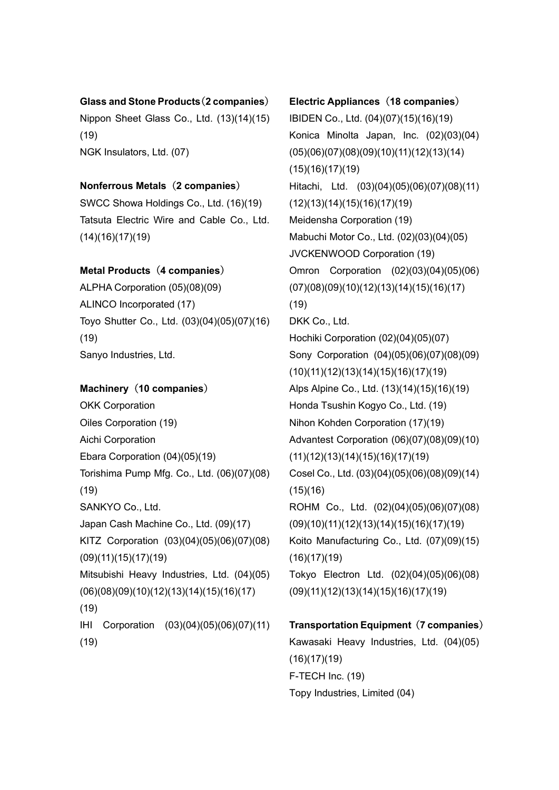#### Glass and Stone Products(2 companies)

Nippon Sheet Glass Co., Ltd. (13)(14)(15) (19) NGK Insulators, Ltd. (07)

## Nonferrous Metals (2 companies)

SWCC Showa Holdings Co., Ltd. (16)(19) Tatsuta Electric Wire and Cable Co., Ltd. (14)(16)(17)(19)

## Metal Products (4 companies)

ALPHA Corporation (05)(08)(09) ALINCO Incorporated (17) Toyo Shutter Co., Ltd. (03)(04)(05)(07)(16) (19) Sanyo Industries, Ltd.

### Machinery (10 companies)

OKK Corporation Oiles Corporation (19) Aichi Corporation Ebara Corporation (04)(05)(19) Torishima Pump Mfg. Co., Ltd. (06)(07)(08) (19) SANKYO Co., Ltd. Japan Cash Machine Co., Ltd. (09)(17) KITZ Corporation (03)(04)(05)(06)(07)(08) (09)(11)(15)(17)(19) Mitsubishi Heavy Industries, Ltd. (04)(05) (06)(08)(09)(10)(12)(13)(14)(15)(16)(17) (19) IHI Corporation (03)(04)(05)(06)(07)(11) (19)

# Electric Appliances (18 companies) IBIDEN Co., Ltd. (04)(07)(15)(16)(19) Konica Minolta Japan, Inc. (02)(03)(04) (05)(06)(07)(08)(09)(10)(11)(12)(13)(14) (15)(16)(17)(19) Hitachi, Ltd. (03)(04)(05)(06)(07)(08)(11) (12)(13)(14)(15)(16)(17)(19) Meidensha Corporation (19) Mabuchi Motor Co., Ltd. (02)(03)(04)(05) JVCKENWOOD Corporation (19) Omron Corporation (02)(03)(04)(05)(06) (07)(08)(09)(10)(12)(13)(14)(15)(16)(17) (19) DKK Co., Ltd. Hochiki Corporation (02)(04)(05)(07) Sony Corporation (04)(05)(06)(07)(08)(09) (10)(11)(12)(13)(14)(15)(16)(17)(19) Alps Alpine Co., Ltd. (13)(14)(15)(16)(19) Honda Tsushin Kogyo Co., Ltd. (19) Nihon Kohden Corporation (17)(19) Advantest Corporation (06)(07)(08)(09)(10) (11)(12)(13)(14)(15)(16)(17)(19) Cosel Co., Ltd. (03)(04)(05)(06)(08)(09)(14)  $(15)(16)$ ROHM Co., Ltd. (02)(04)(05)(06)(07)(08) (09)(10)(11)(12)(13)(14)(15)(16)(17)(19) Koito Manufacturing Co., Ltd. (07)(09)(15)  $(16)(17)(19)$ Tokyo Electron Ltd. (02)(04)(05)(06)(08) (09)(11)(12)(13)(14)(15)(16)(17)(19)

## Transportation Equipment (7 companies) Kawasaki Heavy Industries, Ltd. (04)(05)  $(16)(17)(19)$ F-TECH Inc. (19) Topy Industries, Limited (04)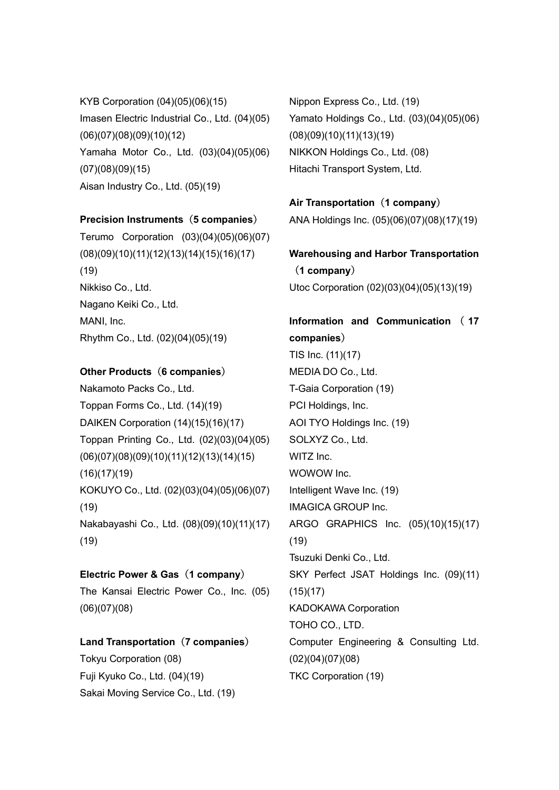KYB Corporation (04)(05)(06)(15) Imasen Electric Industrial Co., Ltd. (04)(05) (06)(07)(08)(09)(10)(12) Yamaha Motor Co., Ltd. (03)(04)(05)(06) (07)(08)(09)(15) Aisan Industry Co., Ltd. (05)(19)

#### Precision Instruments (5 companies)

Terumo Corporation (03)(04)(05)(06)(07) (08)(09)(10)(11)(12)(13)(14)(15)(16)(17) (19) Nikkiso Co., Ltd. Nagano Keiki Co., Ltd. MANI, Inc. Rhythm Co., Ltd. (02)(04)(05)(19)

### Other Products (6 companies)

Nakamoto Packs Co., Ltd. Toppan Forms Co., Ltd. (14)(19) DAIKEN Corporation (14)(15)(16)(17) Toppan Printing Co., Ltd. (02)(03)(04)(05) (06)(07)(08)(09)(10)(11)(12)(13)(14)(15) (16)(17)(19) KOKUYO Co., Ltd. (02)(03)(04)(05)(06)(07) (19) Nakabayashi Co., Ltd. (08)(09)(10)(11)(17) (19)

#### Electric Power & Gas (1 company)

The Kansai Electric Power Co., Inc. (05) (06)(07)(08)

### Land Transportation (7 companies)

Tokyu Corporation (08) Fuji Kyuko Co., Ltd. (04)(19) Sakai Moving Service Co., Ltd. (19) Nippon Express Co., Ltd. (19) Yamato Holdings Co., Ltd. (03)(04)(05)(06) (08)(09)(10)(11)(13)(19) NIKKON Holdings Co., Ltd. (08) Hitachi Transport System, Ltd.

### Air Transportation (1 company)

ANA Holdings Inc. (05)(06)(07)(08)(17)(19)

Warehousing and Harbor Transportation (1 company) Utoc Corporation (02)(03)(04)(05)(13)(19)

## Information and Communication ( 17 companies) TIS Inc. (11)(17) MEDIA DO Co., Ltd. T-Gaia Corporation (19) PCI Holdings, Inc. AOI TYO Holdings Inc. (19) SOLXYZ Co., Ltd. WITZ Inc.

WOWOW Inc. Intelligent Wave Inc. (19) IMAGICA GROUP Inc. ARGO GRAPHICS Inc. (05)(10)(15)(17) (19) Tsuzuki Denki Co., Ltd. SKY Perfect JSAT Holdings Inc. (09)(11)  $(15)(17)$ KADOKAWA Corporation TOHO CO., LTD.

Computer Engineering & Consulting Ltd. (02)(04)(07)(08) TKC Corporation (19)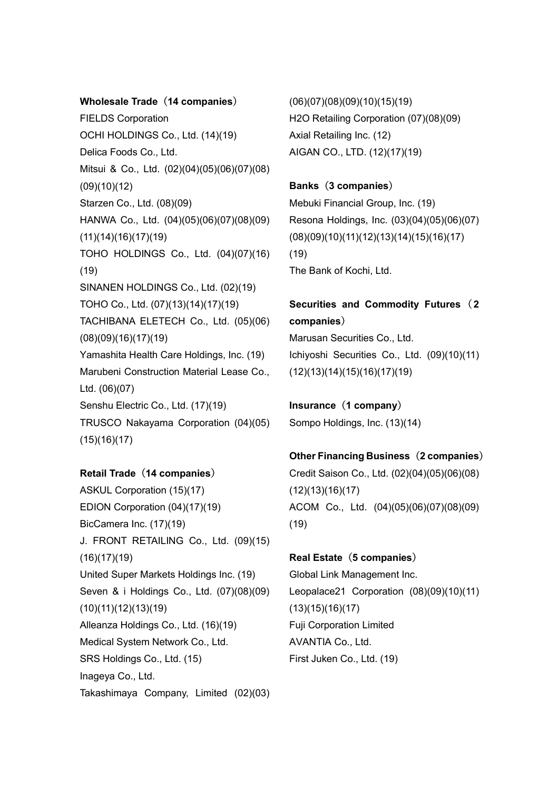#### Wholesale Trade (14 companies)

FIELDS Corporation OCHI HOLDINGS Co., Ltd. (14)(19) Delica Foods Co., Ltd. Mitsui & Co., Ltd. (02)(04)(05)(06)(07)(08) (09)(10)(12) Starzen Co., Ltd. (08)(09) HANWA Co., Ltd. (04)(05)(06)(07)(08)(09) (11)(14)(16)(17)(19) TOHO HOLDINGS Co., Ltd. (04)(07)(16) (19) SINANEN HOLDINGS Co., Ltd. (02)(19) TOHO Co., Ltd. (07)(13)(14)(17)(19) TACHIBANA ELETECH Co., Ltd. (05)(06) (08)(09)(16)(17)(19) Yamashita Health Care Holdings, Inc. (19) Marubeni Construction Material Lease Co., Ltd. (06)(07) Senshu Electric Co., Ltd. (17)(19) TRUSCO Nakayama Corporation (04)(05)  $(15)(16)(17)$ 

#### Retail Trade (14 companies)

ASKUL Corporation (15)(17) EDION Corporation (04)(17)(19) BicCamera Inc. (17)(19) J. FRONT RETAILING Co., Ltd. (09)(15) (16)(17)(19) United Super Markets Holdings Inc. (19) Seven & i Holdings Co., Ltd. (07)(08)(09) (10)(11)(12)(13)(19) Alleanza Holdings Co., Ltd. (16)(19) Medical System Network Co., Ltd. SRS Holdings Co., Ltd. (15) Inageya Co., Ltd. Takashimaya Company, Limited (02)(03)

(06)(07)(08)(09)(10)(15)(19) H2O Retailing Corporation (07)(08)(09) Axial Retailing Inc. (12) AIGAN CO., LTD. (12)(17)(19)

## Banks(3 companies) Mebuki Financial Group, Inc. (19) Resona Holdings, Inc. (03)(04)(05)(06)(07) (08)(09)(10)(11)(12)(13)(14)(15)(16)(17) (19) The Bank of Kochi, Ltd.

## Securities and Commodity Futures (2 companies)

Marusan Securities Co., Ltd. Ichiyoshi Securities Co., Ltd. (09)(10)(11) (12)(13)(14)(15)(16)(17)(19)

Insurance (1 company) Sompo Holdings, Inc. (13)(14)

## Other Financing Business(2 companies) Credit Saison Co., Ltd. (02)(04)(05)(06)(08)  $(12)(13)(16)(17)$ ACOM Co., Ltd. (04)(05)(06)(07)(08)(09) (19)

#### Real Estate (5 companies)

Global Link Management Inc. Leopalace21 Corporation (08)(09)(10)(11) (13)(15)(16)(17) Fuji Corporation Limited AVANTIA Co., Ltd. First Juken Co., Ltd. (19)